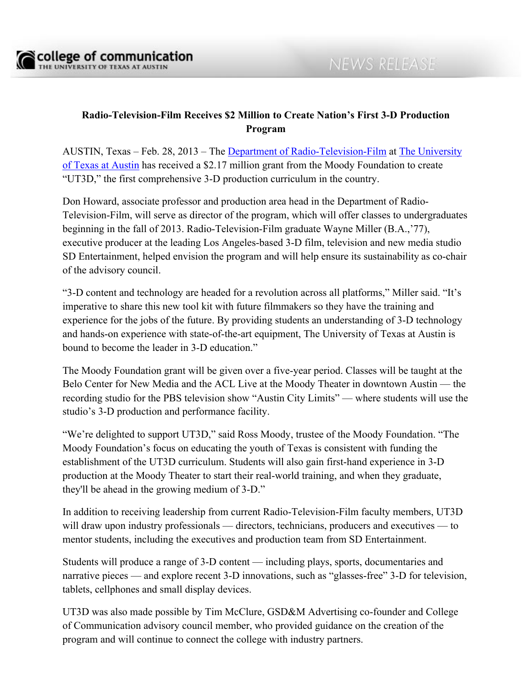## **Radio-Television-Film Receives \$2 Million to Create Nation's First 3-D Production Program**

AUSTIN, Texas – Feb. 28, 2013 – The Department of Radio-Television-Film at The University of Texas at Austin has received a \$2.17 million grant from the Moody Foundation to create "UT3D," the first comprehensive 3-D production curriculum in the country.

Don Howard, associate professor and production area head in the Department of Radio-Television-Film, will serve as director of the program, which will offer classes to undergraduates beginning in the fall of 2013. Radio-Television-Film graduate Wayne Miller (B.A.,'77), executive producer at the leading Los Angeles-based 3-D film, television and new media studio SD Entertainment, helped envision the program and will help ensure its sustainability as co-chair of the advisory council.

"3-D content and technology are headed for a revolution across all platforms," Miller said. "It's imperative to share this new tool kit with future filmmakers so they have the training and experience for the jobs of the future. By providing students an understanding of 3-D technology and hands-on experience with state-of-the-art equipment, The University of Texas at Austin is bound to become the leader in 3-D education."

The Moody Foundation grant will be given over a five-year period. Classes will be taught at the Belo Center for New Media and the ACL Live at the Moody Theater in downtown Austin — the recording studio for the PBS television show "Austin City Limits" — where students will use the studio's 3-D production and performance facility.

"We're delighted to support UT3D," said Ross Moody, trustee of the Moody Foundation. "The Moody Foundation's focus on educating the youth of Texas is consistent with funding the establishment of the UT3D curriculum. Students will also gain first-hand experience in 3-D production at the Moody Theater to start their real-world training, and when they graduate, they'll be ahead in the growing medium of 3-D."

In addition to receiving leadership from current Radio-Television-Film faculty members, UT3D will draw upon industry professionals — directors, technicians, producers and executives — to mentor students, including the executives and production team from SD Entertainment.

Students will produce a range of 3-D content — including plays, sports, documentaries and narrative pieces — and explore recent 3-D innovations, such as "glasses-free" 3-D for television, tablets, cellphones and small display devices.

UT3D was also made possible by Tim McClure, GSD&M Advertising co-founder and College of Communication advisory council member, who provided guidance on the creation of the program and will continue to connect the college with industry partners.